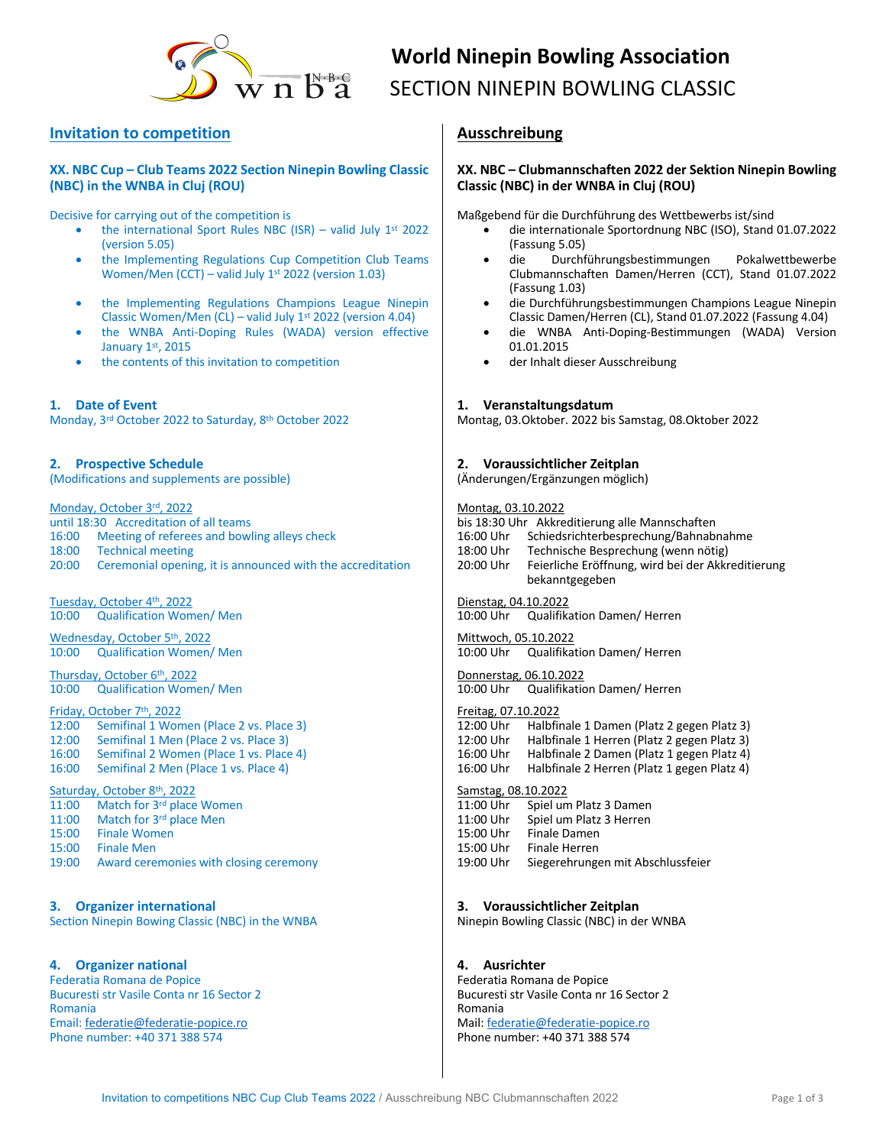

# **World Ninepin Bowling Association**  $\overline{\text{S}}$   $\overline{\text{S}}$   $\overline{\text{S}}$  SECTION NINEPIN BOWLING CLASSIC

# **Invitation to competition**

### **XX. NBC Cup – Club Teams 2022 Section Ninepin Bowling Classic (NBC) in the WNBA in Cluj (ROU)**

Decisive for carrying out of the competition is

- the international Sport Rules NBC (ISR) valid July  $1^{st}$  2022 (version 5.05)
- the Implementing Regulations Cup Competition Club Teams Women/Men (CCT) – valid July 1st 2022 (version 1.03)
- the Implementing Regulations Champions League Ninepin Classic Women/Men (CL) – valid July  $1<sup>st</sup>$  2022 (version 4.04)
- the WNBA Anti-Doping Rules (WADA) version effective January 1st, 2015
- the contents of this invitation to competition

**1. Date of Event** Monday, 3rd October 2022 to Saturday, 8th October 2022

# **2. Prospective Schedule**

(Modifications and supplements are possible)

Monday, October 3rd, 2022

until 18:30 Accreditation of all teams 16:00 Meeting of referees and bowling alleys check 18:00 Technical meeting 20:00 Ceremonial opening, it is announced with the accreditation

Tuesday, October 4<sup>th</sup>, 2022 10:00 Qualification Women/ Men

Wednesday, October 5th, 2022 10:00 Qualification Women/ Men

Thursday, October 6<sup>th</sup>, 2022 10:00 Qualification Women/ Men

# Friday, October 7th, 2022

12:00 Semifinal 1 Women (Place 2 vs. Place 3) 12:00 Semifinal 1 Men (Place 2 vs. Place 3) 16:00 Semifinal 2 Women (Place 1 vs. Place 4) 16:00 Semifinal 2 Men (Place 1 vs. Place 4)

### Saturday, October 8<sup>th</sup>, 2022

11:00 Match for 3rd place Women 11:00 Match for  $3^{rd}$  place Men<br>15:00 Finale Women **Finale Women** 15:00 Finale Men 19:00 Award ceremonies with closing ceremony

**3. Organizer international** Section Ninepin Bowing Classic (NBC) in the WNBA

# **4. Organizer national**

Federatia Romana de Popice Bucuresti str Vasile Conta nr 16 Sector 2 Romania Email: federatie@federatie-popice.ro Phone number: +40 371 388 574

# **Ausschreibung**

### **XX. NBC – Clubmannschaften 2022 der Sektion Ninepin Bowling Classic (NBC) in der WNBA in Cluj (ROU)**

Maßgebend für die Durchführung des Wettbewerbs ist/sind

- die internationale Sportordnung NBC (ISO), Stand 01.07.2022 (Fassung 5.05)
- die Durchführungsbestimmungen Pokalwettbewerbe Clubmannschaften Damen/Herren (CCT), Stand 01.07.2022 (Fassung 1.03)
- die Durchführungsbestimmungen Champions League Ninepin Classic Damen/Herren (CL), Stand 01.07.2022 (Fassung 4.04)
- die WNBA Anti-Doping-Bestimmungen (WADA) Version 01.01.2015
- der Inhalt dieser Ausschreibung

### **1. Veranstaltungsdatum**

Montag, 03.Oktober. 2022 bis Samstag, 08.Oktober 2022

### **2. Voraussichtlicher Zeitplan**

(Änderungen/Ergänzungen möglich)

### Montag, 03.10.2022

| bis 18:30 Uhr Akkreditierung alle Mannschaften                      |
|---------------------------------------------------------------------|
| Schiedsrichterbesprechung/Bahnabnahme                               |
| Technische Besprechung (wenn nötig)                                 |
| Feierliche Eröffnung, wird bei der Akkreditierung<br>bekanntgegeben |
|                                                                     |

Dienstag, 04.10.2022 10:00 Uhr Qualifikation Damen/ Herren

Mittwoch, 05.10.2022 10:00 Uhr Qualifikation Damen/ Herren

Donnerstag, 06.10.2022 10:00 Uhr Qualifikation Damen/ Herren

### Freitag, 07.10.2022

12:00 Uhr Halbfinale 1 Damen (Platz 2 gegen Platz 3) 12:00 Uhr Halbfinale 1 Herren (Platz 2 gegen Platz 3) Halbfinale 2 Damen (Platz 1 gegen Platz 4) 16:00 Uhr Halbfinale 2 Herren (Platz 1 gegen Platz 4)

### Samstag, 08.10.2022

11:00 Uhr Spiel um Platz 3 Damen<br>11:00 Uhr Spiel um Platz 3 Herren 11:00 Uhr Spiel um Platz 3 Herren<br>15:00 Uhr Finale Damen Finale Damen 15:00 Uhr Finale Herren 19:00 Uhr Siegerehrungen mit Abschlussfeier

### **3. Voraussichtlicher Zeitplan**

Ninepin Bowling Classic (NBC) in der WNBA

# **4. Ausrichter**

Federatia Romana de Popice Bucuresti str Vasile Conta nr 16 Sector 2 Romania Mail: federatie@federatie-popice.ro Phone number: +40 371 388 574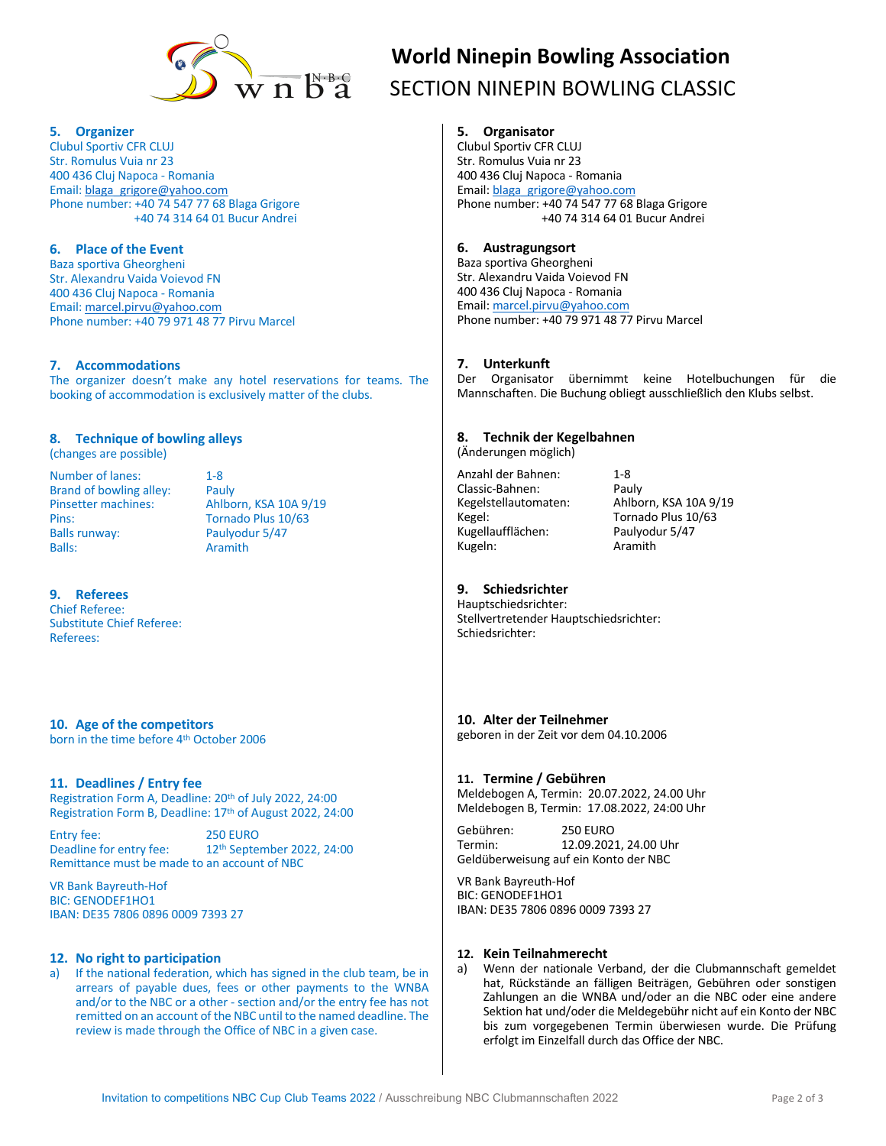

### **5. Organizer**

Clubul Sportiv CFR CLUJ Str. Romulus Vuia nr 23 400 436 Cluj Napoca - Romania Email: blaga\_grigore@yahoo.com Phone number: +40 74 547 77 68 Blaga Grigore +40 74 314 64 01 Bucur Andrei

# **6. Place of the Event**

Baza sportiva Gheorgheni Str. Alexandru Vaida Voievod FN 400 436 Cluj Napoca - Romania Email: marcel.pirvu@yahoo.com Phone number: +40 79 971 48 77 Pirvu Marcel

### **7. Accommodations**

The organizer doesn't make any hotel reservations for teams. The booking of accommodation is exclusively matter of the clubs.

### **8. Technique of bowling alleys**

(changes are possible)

Number of lanes: 1-8<br>Brand of bowling alley: Pauly Brand of bowling alley: Pins: Tornado Plus 10/63 Balls runway: Paulyodur 5/47<br>Balls: Aramith

Pinsetter machines: Ahlborn, KSA 10A 9/19 Aramith

### **9. Referees**

Chief Referee: Substitute Chief Referee: Referees:

**10. Age of the competitors** born in the time before 4th October 2006

### **11. Deadlines / Entry fee**

Registration Form A, Deadline: 20th of July 2022, 24:00 Registration Form B, Deadline: 17th of August 2022, 24:00

Entry fee: 250 EURO<br>Deadline for entry fee: 22<sup>th</sup> Septe 12<sup>th</sup> September 2022, 24:00 Remittance must be made to an account of NBC

VR Bank Bayreuth-Hof BIC: GENODEF1HO1 IBAN: DE35 7806 0896 0009 7393 27

### **12. No right to participation**

a) If the national federation, which has signed in the club team, be in arrears of payable dues, fees or other payments to the WNBA and/or to the NBC or a other - section and/or the entry fee has not remitted on an account of the NBC until to the named deadline. The review is made through the Office of NBC in a given case.

# **World Ninepin Bowling Association**  $\overline{\mathrm{B}}^{\text{N-B-G}}$  SECTION NINEPIN BOWLING CLASSIC

# **5. Organisator**

Clubul Sportiv CFR CLUJ Str. Romulus Vuia nr 23 400 436 Cluj Napoca - Romania Email: blaga\_grigore@yahoo.com Phone number: +40 74 547 77 68 Blaga Grigore +40 74 314 64 01 Bucur Andrei

# **6. Austragungsort**

Baza sportiva Gheorgheni Str. Alexandru Vaida Voievod FN 400 436 Cluj Napoca - Romania Email: marcel.pirvu@yahoo.com Phone number: +40 79 971 48 77 Pirvu Marcel

### **7. Unterkunft**

Der Organisator übernimmt keine Hotelbuchungen für die Mannschaften. Die Buchung obliegt ausschließlich den Klubs selbst.

# **8. Technik der Kegelbahnen**

(Änderungen möglich)

Anzahl der Bahnen: 1-8 Classic-Bahnen: Pauly Kugellaufflächen: Kugeln: Aramith

Kegelstellautomaten: Ahlborn, KSA 10A 9/19 Kegel: Tornado Plus 10/63<br>Kugellaufflächen: Paulyodur 5/47

# **9. Schiedsrichter**

Hauptschiedsrichter: Stellvertretender Hauptschiedsrichter: Schiedsrichter:

### **10. Alter der Teilnehmer**

geboren in der Zeit vor dem 04.10.2006

### **11. Termine / Gebühren**

Meldebogen A, Termin: 20.07.2022, 24.00 Uhr Meldebogen B, Termin: 17.08.2022, 24:00 Uhr

Gebühren: 250 EURO Termin: 12.09.2021, 24.00 Uhr Geldüberweisung auf ein Konto der NBC

VR Bank Bayreuth-Hof BIC: GENODEF1HO1 IBAN: DE35 7806 0896 0009 7393 27

### **12. Kein Teilnahmerecht**

a) Wenn der nationale Verband, der die Clubmannschaft gemeldet hat, Rückstände an fälligen Beiträgen, Gebühren oder sonstigen Zahlungen an die WNBA und/oder an die NBC oder eine andere Sektion hat und/oder die Meldegebühr nicht auf ein Konto der NBC bis zum vorgegebenen Termin überwiesen wurde. Die Prüfung erfolgt im Einzelfall durch das Office der NBC.